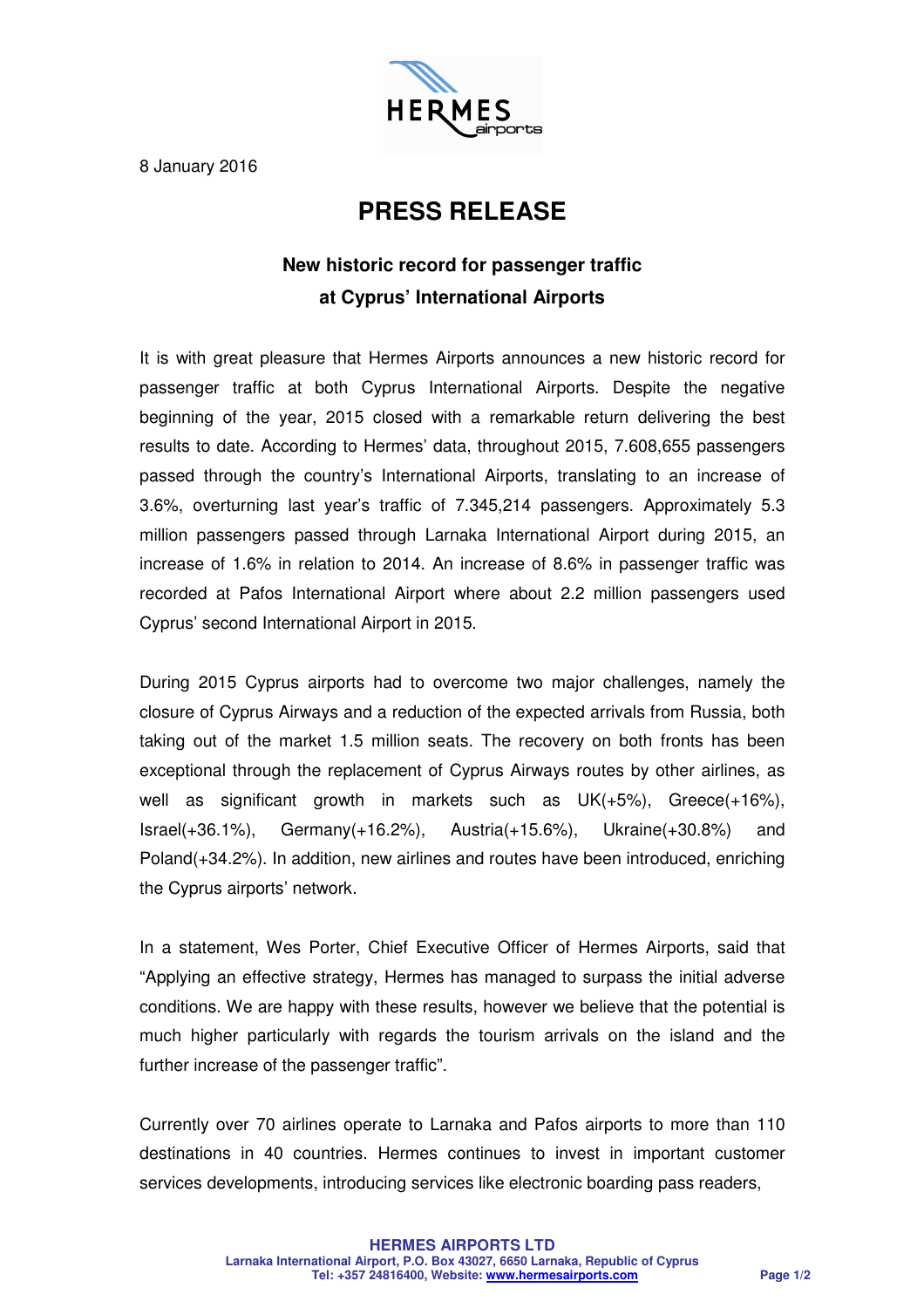

8 January 2016

## **PRESS RELEASE**

## **New historic record for passenger traffic at Cyprus' International Airports**

It is with great pleasure that Hermes Airports announces a new historic record for passenger traffic at both Cyprus International Airports. Despite the negative beginning of the year, 2015 closed with a remarkable return delivering the best results to date. According to Hermes' data, throughout 2015, 7.608,655 passengers passed through the country's International Airports, translating to an increase of 3.6%, overturning last year's traffic of 7.345,214 passengers. Approximately 5.3 million passengers passed through Larnaka International Airport during 2015, an increase of 1.6% in relation to 2014. An increase of 8.6% in passenger traffic was recorded at Pafos International Airport where about 2.2 million passengers used Cyprus' second International Airport in 2015.

During 2015 Cyprus airports had to overcome two major challenges, namely the closure of Cyprus Airways and a reduction of the expected arrivals from Russia, both taking out of the market 1.5 million seats. The recovery on both fronts has been exceptional through the replacement of Cyprus Airways routes by other airlines, as well as significant growth in markets such as UK(+5%), Greece(+16%), Israel(+36.1%), Germany(+16.2%), Austria(+15.6%), Ukraine(+30.8%) and Poland(+34.2%). In addition, new airlines and routes have been introduced, enriching the Cyprus airports' network.

In a statement, Wes Porter, Chief Executive Officer of Hermes Airports, said that "Applying an effective strategy, Hermes has managed to surpass the initial adverse conditions. We are happy with these results, however we believe that the potential is much higher particularly with regards the tourism arrivals on the island and the further increase of the passenger traffic".

Currently over 70 airlines operate to Larnaka and Pafos airports to more than 110 destinations in 40 countries. Hermes continues to invest in important customer services developments, introducing services like electronic boarding pass readers,